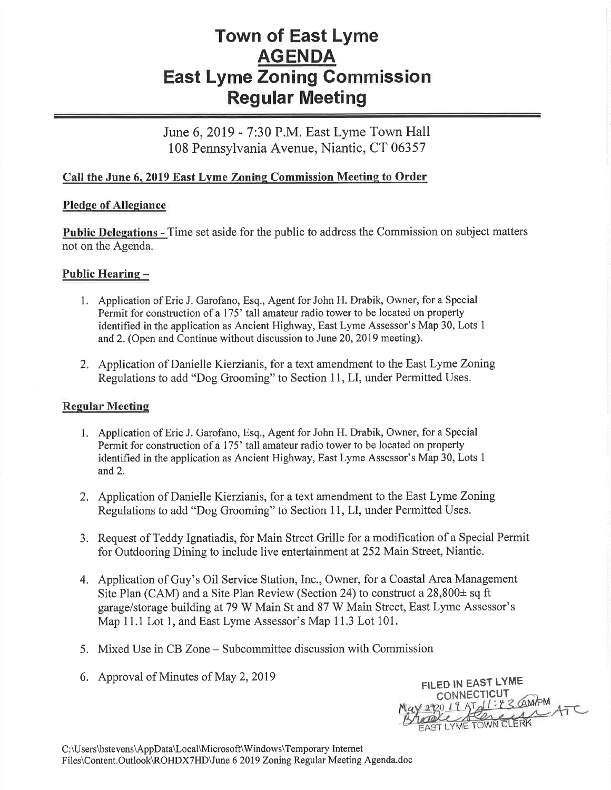# Town of East Lyme AGENDA East Lyme Zoning Commission Regular Meeting

June 6,2019 - 7:30 P.M. East Lyme Town Hall 108 Pennsylvania Avenue, Niantic, CT 06357

## Call the June 6, 2019 East Lyme Zoning Commission Meeting to Order

#### Pledge of Allegiance

Public Delegations - Time set aside for the public to address the Commission on subject matters not on the Agenda.

## Public Hearing -

- 1. Application of Eric J. Garofano, EsQ., Agent for John H. Drabik, Owner, for a Special Permit for construction of a 175' tall amateur radio tower to be located on property identified in the application as Ancient Highway, East Lyme Assessor's Map 30, Lots <sup>1</sup> and2. (Open and Continue without discussion to June 20,2019 meeting).
- 2. Application of Danielle Kierzianis, for a text amendment to the East Lyme Zoning Regulations to add "Dog Grooming" to Section 11, LI, under Permitted Uses.

#### **Regular Meeting**

- Application of Eric J. Garofano, Esq., Agent for John H. Drabik, Owner, for a Special Permit for construction of a 175' tall amateur radio tower to be located on property identified in the application as Ancient Highway, East Lyme Assessor's Map 30, Lots I and 2.
- 2. Application of Danielle Kierzianis, for a text amendment to the East Lyme Zoning Regulations to add "Dog Grooming" to Section 11, LI, under Permitted Uses.
- 3. Request of Teddy lgnatiadis, for Main Street Grille for a modification of a Special Permit for Outdooring Dining to include live entertainment at252 Main Street, Niantic.
- 4. Application of Guy's Oil Service Station, Inc., Owner, for a Coastal Area Management Site Plan (CAM) and a Site Plan Review (Section 24) to construct a  $28,800\pm$  sq ft garage/storage building at 79 W Main St and 87 W Main Street, East Lyme Assessor's Map 11.1 Lot 1, and East Lyme Assessor's Map 11.3 Lot 101.
- 5. Mixed Use in CB Zone Subcommittee discussion with Commission
- 6. Approval of Minutes of May 2,2019

FILED IN EAST LYME **CONNECTICUT** 3 GAMPM ATC